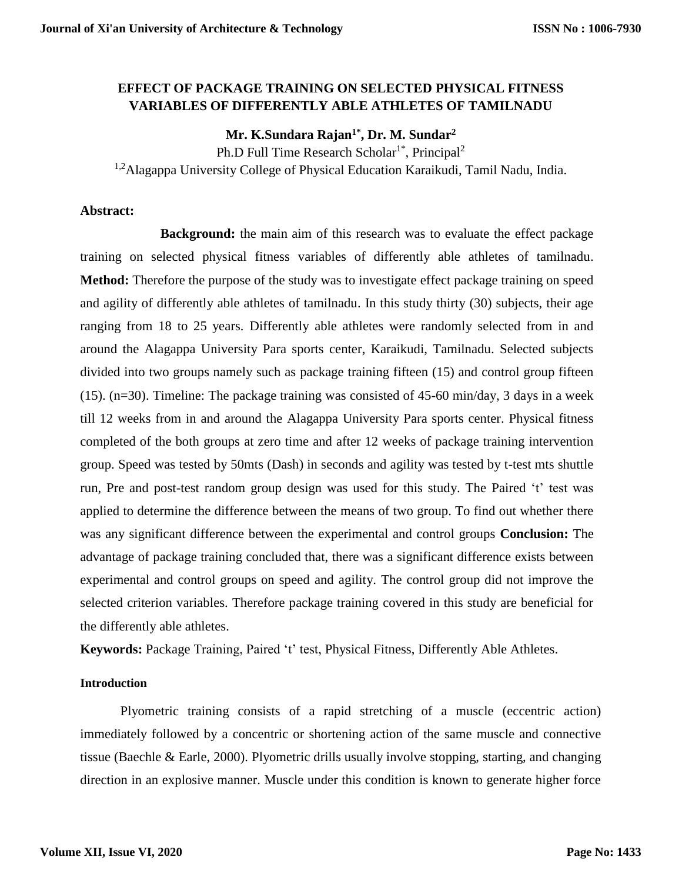## **EFFECT OF PACKAGE TRAINING ON SELECTED PHYSICAL FITNESS VARIABLES OF DIFFERENTLY ABLE ATHLETES OF TAMILNADU**

# **Mr. K.Sundara Rajan1\* , Dr. M. Sundar<sup>2</sup>**

Ph.D Full Time Research Scholar<sup>1\*</sup>, Principal<sup>2</sup>

<sup>1,2</sup>Alagappa University College of Physical Education Karaikudi, Tamil Nadu, India.

#### **Abstract:**

**Background:** the main aim of this research was to evaluate the effect package training on selected physical fitness variables of differently able athletes of tamilnadu. **Method:** Therefore the purpose of the study was to investigate effect package training on speed and agility of differently able athletes of tamilnadu. In this study thirty (30) subjects, their age ranging from 18 to 25 years. Differently able athletes were randomly selected from in and around the Alagappa University Para sports center, Karaikudi, Tamilnadu. Selected subjects divided into two groups namely such as package training fifteen (15) and control group fifteen (15). (n=30). Timeline: The package training was consisted of 45-60 min/day, 3 days in a week till 12 weeks from in and around the Alagappa University Para sports center. Physical fitness completed of the both groups at zero time and after 12 weeks of package training intervention group. Speed was tested by 50mts (Dash) in seconds and agility was tested by t-test mts shuttle run, Pre and post-test random group design was used for this study. The Paired 't' test was applied to determine the difference between the means of two group. To find out whether there was any significant difference between the experimental and control groups **Conclusion:** The advantage of package training concluded that, there was a significant difference exists between experimental and control groups on speed and agility. The control group did not improve the selected criterion variables. Therefore package training covered in this study are beneficial for the differently able athletes.

**Keywords:** Package Training, Paired 't' test, Physical Fitness, Differently Able Athletes.

## **Introduction**

Plyometric training consists of a rapid stretching of a muscle (eccentric action) immediately followed by a concentric or shortening action of the same muscle and connective tissue (Baechle & Earle, 2000). Plyometric drills usually involve stopping, starting, and changing direction in an explosive manner. Muscle under this condition is known to generate higher force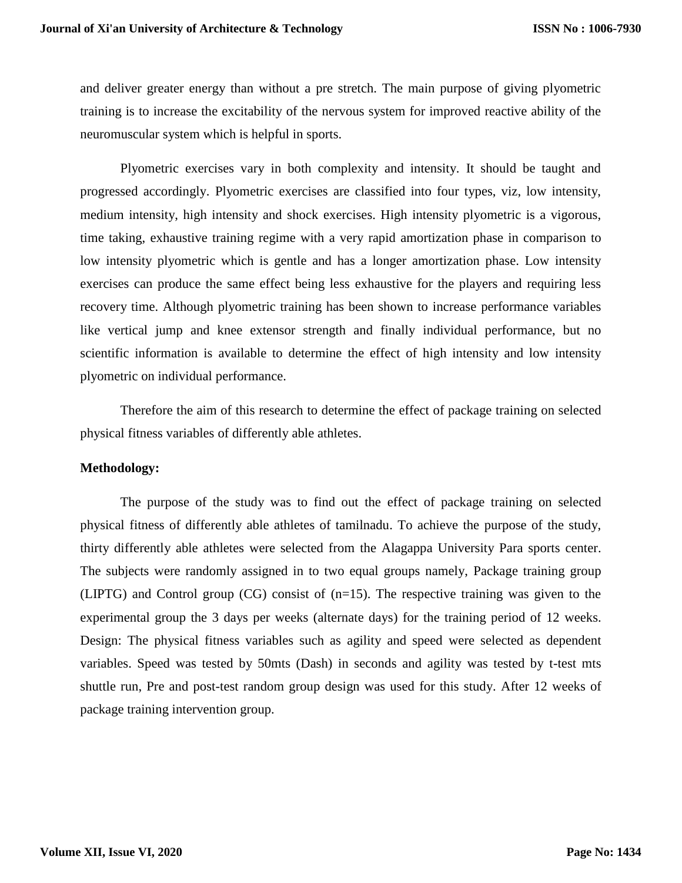and deliver greater energy than without a pre stretch. The main purpose of giving plyometric training is to increase the excitability of the nervous system for improved reactive ability of the neuromuscular system which is helpful in sports.

Plyometric exercises vary in both complexity and intensity. It should be taught and progressed accordingly. Plyometric exercises are classified into four types, viz, low intensity, medium intensity, high intensity and shock exercises. High intensity plyometric is a vigorous, time taking, exhaustive training regime with a very rapid amortization phase in comparison to low intensity plyometric which is gentle and has a longer amortization phase. Low intensity exercises can produce the same effect being less exhaustive for the players and requiring less recovery time. Although plyometric training has been shown to increase performance variables like vertical jump and knee extensor strength and finally individual performance, but no scientific information is available to determine the effect of high intensity and low intensity plyometric on individual performance.

Therefore the aim of this research to determine the effect of package training on selected physical fitness variables of differently able athletes.

#### **Methodology:**

The purpose of the study was to find out the effect of package training on selected physical fitness of differently able athletes of tamilnadu. To achieve the purpose of the study, thirty differently able athletes were selected from the Alagappa University Para sports center. The subjects were randomly assigned in to two equal groups namely, Package training group (LIPTG) and Control group (CG) consist of (n=15). The respective training was given to the experimental group the 3 days per weeks (alternate days) for the training period of 12 weeks. Design: The physical fitness variables such as agility and speed were selected as dependent variables. Speed was tested by 50mts (Dash) in seconds and agility was tested by t-test mts shuttle run, Pre and post-test random group design was used for this study. After 12 weeks of package training intervention group.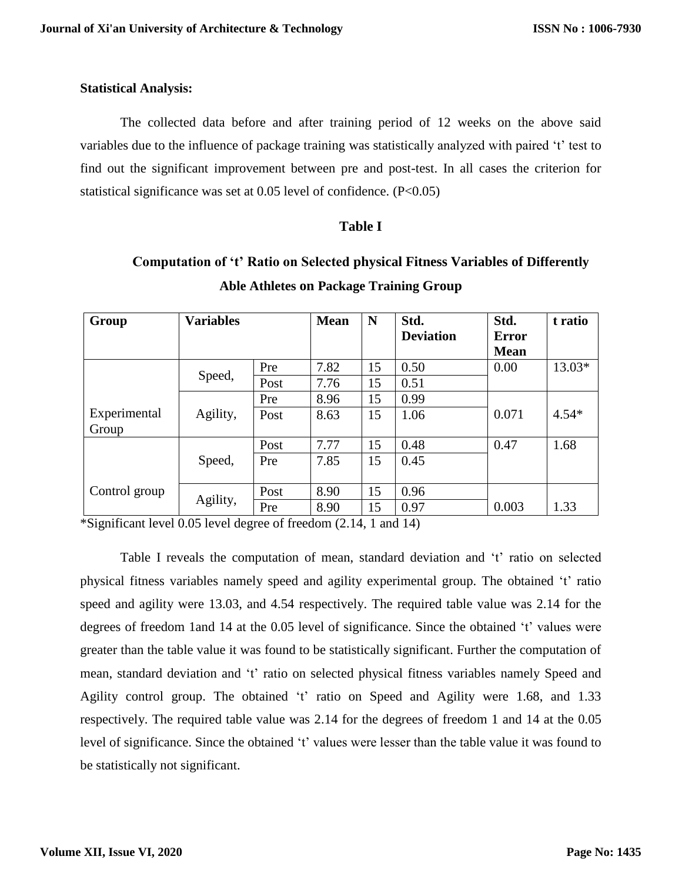#### **Statistical Analysis:**

The collected data before and after training period of 12 weeks on the above said variables due to the influence of package training was statistically analyzed with paired 't' test to find out the significant improvement between pre and post-test. In all cases the criterion for statistical significance was set at 0.05 level of confidence. (P<0.05)

#### **Table I**

# **Computation of 't' Ratio on Selected physical Fitness Variables of Differently Able Athletes on Package Training Group**

| Group         | <b>Variables</b> |      | <b>Mean</b> | N  | Std.             | Std.         | t ratio |
|---------------|------------------|------|-------------|----|------------------|--------------|---------|
|               |                  |      |             |    | <b>Deviation</b> | <b>Error</b> |         |
|               |                  |      |             |    |                  | <b>Mean</b>  |         |
|               | Speed,           | Pre  | 7.82        | 15 | 0.50             | 0.00         | 13.03*  |
|               |                  | Post | 7.76        | 15 | 0.51             |              |         |
|               |                  | Pre  | 8.96        | 15 | 0.99             |              |         |
| Experimental  | Agility,         | Post | 8.63        | 15 | 1.06             | 0.071        | $4.54*$ |
| Group         |                  |      |             |    |                  |              |         |
|               | Speed,           | Post | 7.77        | 15 | 0.48             | 0.47         | 1.68    |
|               |                  | Pre  | 7.85        | 15 | 0.45             |              |         |
|               |                  |      |             |    |                  |              |         |
| Control group | Agility,         | Post | 8.90        | 15 | 0.96             |              |         |
|               |                  | Pre  | 8.90        | 15 | 0.97             | 0.003        | 1.33    |

\*Significant level 0.05 level degree of freedom (2.14, 1 and 14)

Table I reveals the computation of mean, standard deviation and 't' ratio on selected physical fitness variables namely speed and agility experimental group. The obtained 't' ratio speed and agility were 13.03, and 4.54 respectively. The required table value was 2.14 for the degrees of freedom 1and 14 at the 0.05 level of significance. Since the obtained 't' values were greater than the table value it was found to be statistically significant. Further the computation of mean, standard deviation and 't' ratio on selected physical fitness variables namely Speed and Agility control group. The obtained 't' ratio on Speed and Agility were 1.68, and 1.33 respectively. The required table value was 2.14 for the degrees of freedom 1 and 14 at the 0.05 level of significance. Since the obtained 't' values were lesser than the table value it was found to be statistically not significant.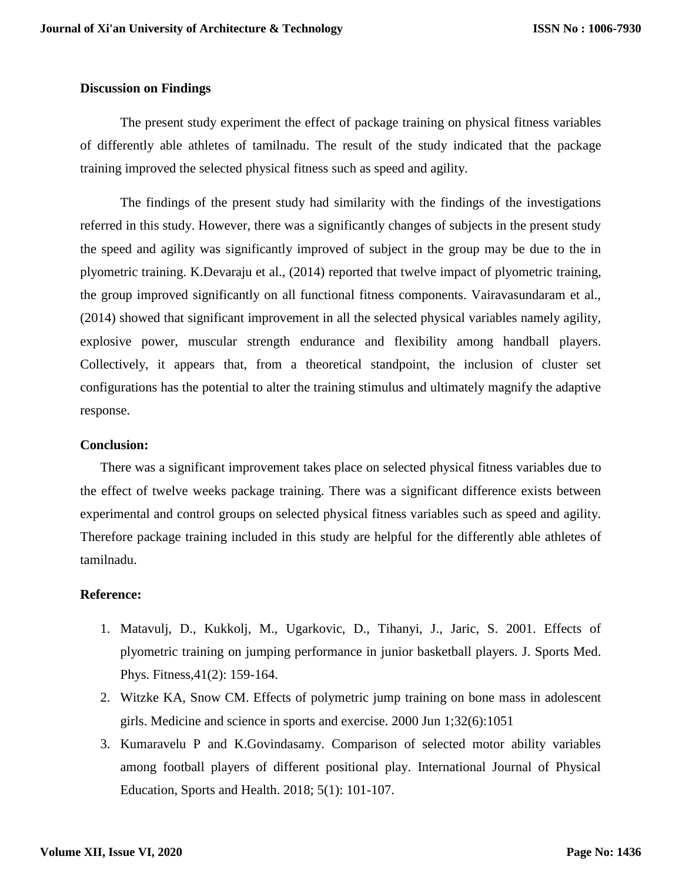#### **Discussion on Findings**

The present study experiment the effect of package training on physical fitness variables of differently able athletes of tamilnadu. The result of the study indicated that the package training improved the selected physical fitness such as speed and agility.

The findings of the present study had similarity with the findings of the investigations referred in this study. However, there was a significantly changes of subjects in the present study the speed and agility was significantly improved of subject in the group may be due to the in plyometric training. K.Devaraju et al., (2014) reported that twelve impact of plyometric training, the group improved significantly on all functional fitness components. Vairavasundaram et al., (2014) showed that significant improvement in all the selected physical variables namely agility, explosive power, muscular strength endurance and flexibility among handball players. Collectively, it appears that, from a theoretical standpoint, the inclusion of cluster set configurations has the potential to alter the training stimulus and ultimately magnify the adaptive response.

#### **Conclusion:**

There was a significant improvement takes place on selected physical fitness variables due to the effect of twelve weeks package training. There was a significant difference exists between experimental and control groups on selected physical fitness variables such as speed and agility. Therefore package training included in this study are helpful for the differently able athletes of tamilnadu.

#### **Reference:**

- 1. Matavulj, D., Kukkolj, M., Ugarkovic, D., Tihanyi, J., Jaric, S. 2001. Effects of plyometric training on jumping performance in junior basketball players. J. Sports Med. Phys. Fitness,41(2): 159-164.
- 2. Witzke KA, Snow CM. Effects of polymetric jump training on bone mass in adolescent girls. Medicine and science in sports and exercise. 2000 Jun 1;32(6):1051
- 3. Kumaravelu P and K.Govindasamy. Comparison of selected motor ability variables among football players of different positional play. International Journal of Physical Education, Sports and Health. 2018; 5(1): 101-107.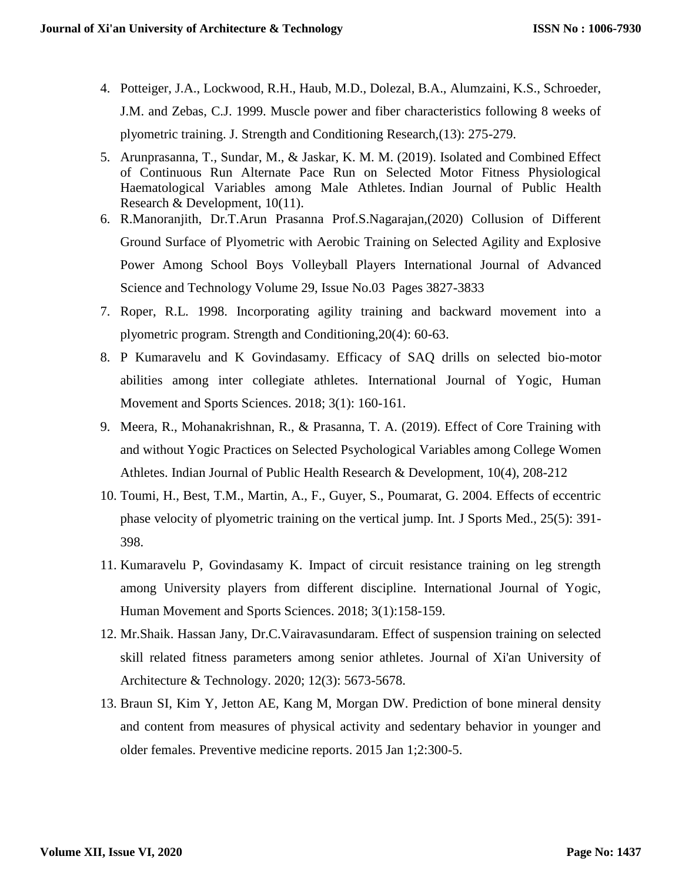- 4. Potteiger, J.A., Lockwood, R.H., Haub, M.D., Dolezal, B.A., Alumzaini, K.S., Schroeder, J.M. and Zebas, C.J. 1999. Muscle power and fiber characteristics following 8 weeks of plyometric training. J. Strength and Conditioning Research,(13): 275-279.
- 5. Arunprasanna, T., Sundar, M., & Jaskar, K. M. M. (2019). Isolated and Combined Effect of Continuous Run Alternate Pace Run on Selected Motor Fitness Physiological Haematological Variables among Male Athletes. Indian Journal of Public Health Research & Development, 10(11).
- 6. R.Manoranjith, Dr.T.Arun Prasanna Prof.S.Nagarajan,(2020) Collusion of Different Ground Surface of Plyometric with Aerobic Training on Selected Agility and Explosive Power Among School Boys Volleyball Players International Journal of Advanced Science and Technology Volume 29, Issue No.03 Pages 3827-3833
- 7. Roper, R.L. 1998. Incorporating agility training and backward movement into a plyometric program. Strength and Conditioning,20(4): 60-63.
- 8. P Kumaravelu and K Govindasamy. Efficacy of SAQ drills on selected bio-motor abilities among inter collegiate athletes. International Journal of Yogic, Human Movement and Sports Sciences. 2018; 3(1): 160-161.
- 9. Meera, R., Mohanakrishnan, R., & Prasanna, T. A. (2019). Effect of Core Training with and without Yogic Practices on Selected Psychological Variables among College Women Athletes. Indian Journal of Public Health Research & Development, 10(4), 208-212
- 10. Toumi, H., Best, T.M., Martin, A., F., Guyer, S., Poumarat, G. 2004. Effects of eccentric phase velocity of plyometric training on the vertical jump. Int. J Sports Med., 25(5): 391- 398.
- 11. Kumaravelu P, Govindasamy K. Impact of circuit resistance training on leg strength among University players from different discipline. International Journal of Yogic, Human Movement and Sports Sciences. 2018; 3(1):158-159.
- 12. Mr.Shaik. Hassan Jany, Dr.C.Vairavasundaram. Effect of suspension training on selected skill related fitness parameters among senior athletes. Journal of Xi'an University of Architecture & Technology. 2020; 12(3): 5673-5678.
- 13. Braun SI, Kim Y, Jetton AE, Kang M, Morgan DW. Prediction of bone mineral density and content from measures of physical activity and sedentary behavior in younger and older females. Preventive medicine reports. 2015 Jan 1;2:300-5.